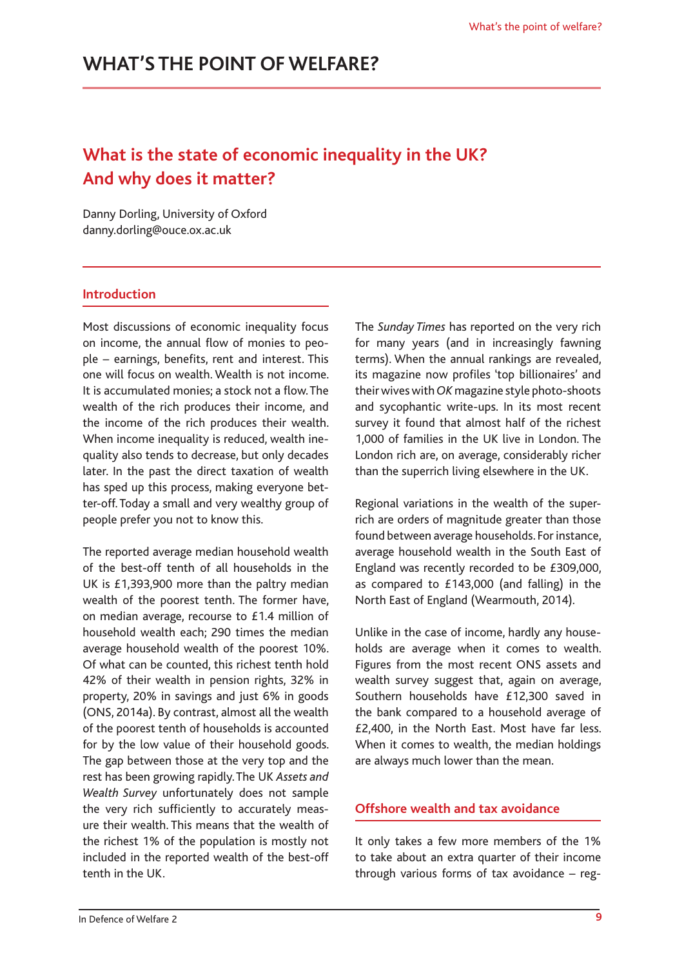# **What is the state of economic inequality in the UK? And why does it matter?**

Danny Dorling, University of Oxford [danny.dorling@ouce.ox.ac.uk](mailto:danny.dorling@ouce.ox.ac.uk)

#### **Introduction**

Most discussions of economic inequality focus on income, the annual flow of monies to people – earnings, benefits, rent and interest. This one will focus on wealth. Wealth is not income. It is accumulated monies; a stock not a flow. The wealth of the rich produces their income, and the income of the rich produces their wealth. When income inequality is reduced, wealth inequality also tends to decrease, but only decades later. In the past the direct taxation of wealth has sped up this process, making everyone better-off. Today a small and very wealthy group of people prefer you not to know this.

The reported average median household wealth of the best-off tenth of all households in the UK is £1,393,900 more than the paltry median wealth of the poorest tenth. The former have, on median average, recourse to £1.4 million of household wealth each; 290 times the median average household wealth of the poorest 10%. Of what can be counted, this richest tenth hold 42% of their wealth in pension rights, 32% in property, 20% in savings and just 6% in goods (ONS, 2014a). By contrast, almost all the wealth of the poorest tenth of households is accounted for by the low value of their household goods. The gap between those at the very top and the rest has been growing rapidly. The UK *Assets and Wealth Survey* unfortunately does not sample the very rich sufficiently to accurately measure their wealth. This means that the wealth of the richest 1% of the population is mostly not included in the reported wealth of the best-off tenth in the UK.

The *Sunday Times* has reported on the very rich for many years (and in increasingly fawning terms). When the annual rankings are revealed, its magazine now profiles 'top billionaires' and their wives with *OK* magazine style photo-shoots and sycophantic write-ups. In its most recent survey it found that almost half of the richest 1,000 of families in the UK live in London. The London rich are, on average, considerably richer than the superrich living elsewhere in the UK.

Regional variations in the wealth of the superrich are orders of magnitude greater than those found between average households. For instance, average household wealth in the South East of England was recently recorded to be £309,000, as compared to £143,000 (and falling) in the North East of England (Wearmouth, 2014).

Unlike in the case of income, hardly any households are average when it comes to wealth. Figures from the most recent ONS assets and wealth survey suggest that, again on average, Southern households have £12,300 saved in the bank compared to a household average of £2,400, in the North East. Most have far less. When it comes to wealth, the median holdings are always much lower than the mean.

#### **Offshore wealth and tax avoidance**

It only takes a few more members of the 1% to take about an extra quarter of their income through various forms of tax avoidance – reg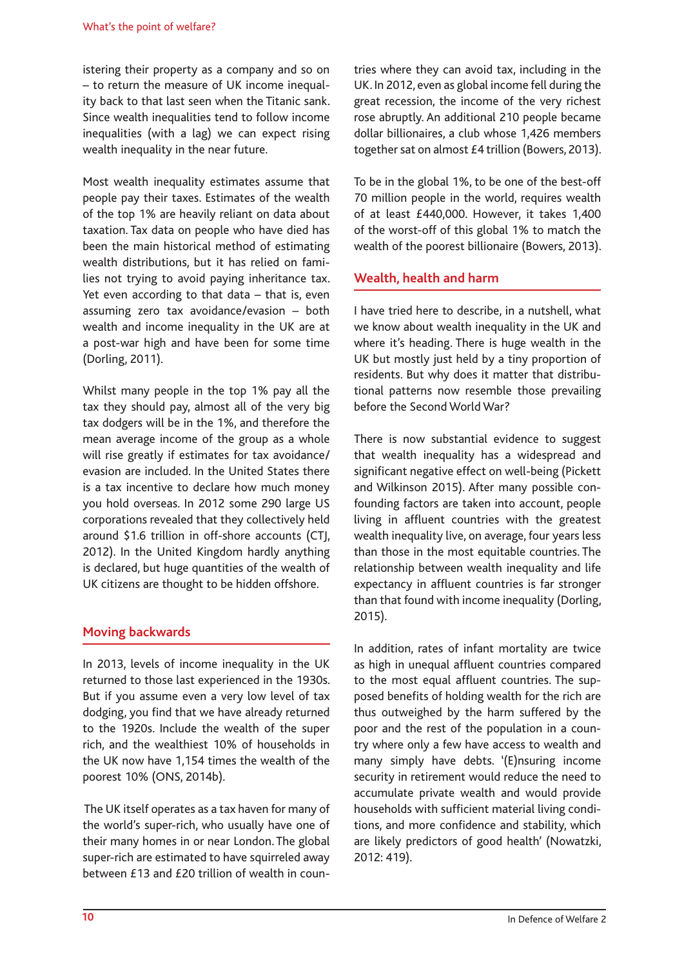istering their property as a company and so on – to return the measure of UK income inequality back to that last seen when the Titanic sank. Since wealth inequalities tend to follow income inequalities (with a lag) we can expect rising wealth inequality in the near future.

Most wealth inequality estimates assume that people pay their taxes. Estimates of the wealth of the top 1% are heavily reliant on data about taxation. Tax data on people who have died has been the main historical method of estimating wealth distributions, but it has relied on families not trying to avoid paying inheritance tax. Yet even according to that data – that is, even assuming zero tax avoidance/evasion – both wealth and income inequality in the UK are at a post-war high and have been for some time (Dorling, 2011).

Whilst many people in the top 1% pay all the tax they should pay, almost all of the very big tax dodgers will be in the 1%, and therefore the mean average income of the group as a whole will rise greatly if estimates for tax avoidance/ evasion are included. In the United States there is a tax incentive to declare how much money you hold overseas. In 2012 some 290 large US corporations revealed that they collectively held around \$1.6 trillion in off-shore accounts (CTJ, 2012). In the United Kingdom hardly anything is declared, but huge quantities of the wealth of UK citizens are thought to be hidden offshore.

# **Moving backwards**

In 2013, levels of income inequality in the UK returned to those last experienced in the 1930s. But if you assume even a very low level of tax dodging, you find that we have already returned to the 1920s. Include the wealth of the super rich, and the wealthiest 10% of households in the UK now have 1,154 times the wealth of the poorest 10% (ONS, 2014b).

 The UK itself operates as a tax haven for many of the world's super-rich, who usually have one of their many homes in or near London. The global super-rich are estimated to have squirreled away between £13 and £20 trillion of wealth in countries where they can avoid tax, including in the UK. In 2012, even as global income fell during the great recession, the income of the very richest rose abruptly. An additional 210 people became dollar billionaires, a club whose 1,426 members together sat on almost £4 trillion (Bowers, 2013).

To be in the global 1%, to be one of the best-off 70 million people in the world, requires wealth of at least £440,000. However, it takes 1,400 of the worst-off of this global 1% to match the wealth of the poorest billionaire (Bowers, 2013).

#### **Wealth, health and harm**

I have tried here to describe, in a nutshell, what we know about wealth inequality in the UK and where it's heading. There is huge wealth in the UK but mostly just held by a tiny proportion of residents. But why does it matter that distributional patterns now resemble those prevailing before the Second World War?

There is now substantial evidence to suggest that wealth inequality has a widespread and significant negative effect on well-being (Pickett and Wilkinson 2015). After many possible confounding factors are taken into account, people living in affluent countries with the greatest wealth inequality live, on average, four years less than those in the most equitable countries. The relationship between wealth inequality and life expectancy in affluent countries is far stronger than that found with income inequality (Dorling, 2015).

In addition, rates of infant mortality are twice as high in unequal affluent countries compared to the most equal affluent countries. The supposed benefits of holding wealth for the rich are thus outweighed by the harm suffered by the poor and the rest of the population in a country where only a few have access to wealth and many simply have debts. '(E)nsuring income security in retirement would reduce the need to accumulate private wealth and would provide households with sufficient material living conditions, and more confidence and stability, which are likely predictors of good health' (Nowatzki, 2012: 419).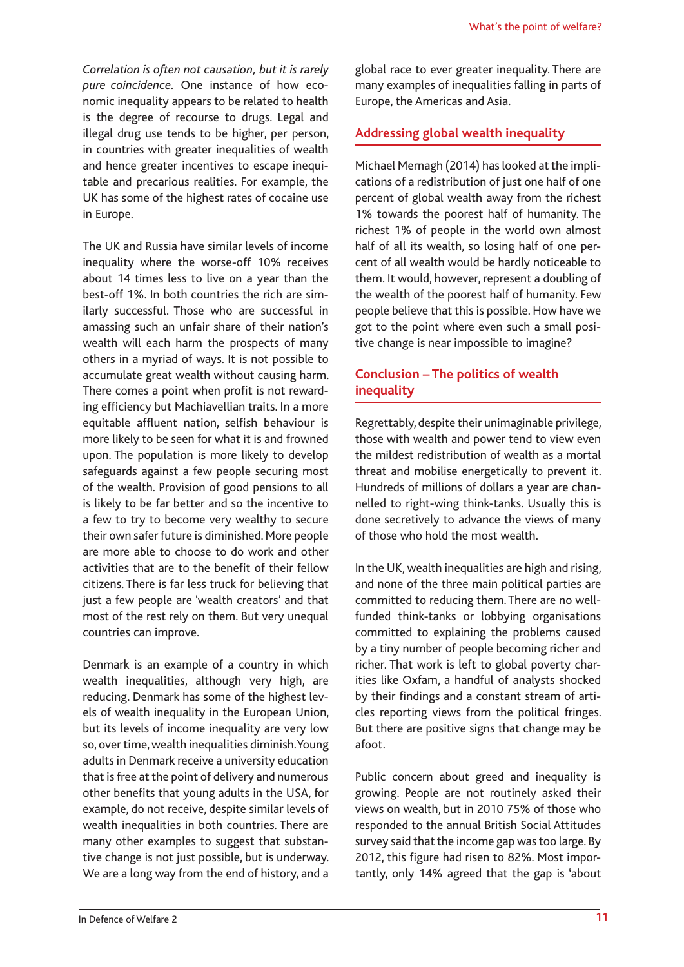*Correlation is often not causation, but it is rarely pure coincidence.* One instance of how economic inequality appears to be related to health is the degree of recourse to drugs. Legal and illegal drug use tends to be higher, per person, in countries with greater inequalities of wealth and hence greater incentives to escape inequitable and precarious realities. For example, the UK has some of the highest rates of cocaine use in Europe.

The UK and Russia have similar levels of income inequality where the worse-off 10% receives about 14 times less to live on a year than the best-off 1%. In both countries the rich are similarly successful. Those who are successful in amassing such an unfair share of their nation's wealth will each harm the prospects of many others in a myriad of ways. It is not possible to accumulate great wealth without causing harm. There comes a point when profit is not rewarding efficiency but Machiavellian traits. In a more equitable affluent nation, selfish behaviour is more likely to be seen for what it is and frowned upon. The population is more likely to develop safeguards against a few people securing most of the wealth. Provision of good pensions to all is likely to be far better and so the incentive to a few to try to become very wealthy to secure their own safer future is diminished. More people are more able to choose to do work and other activities that are to the benefit of their fellow citizens. There is far less truck for believing that just a few people are 'wealth creators' and that most of the rest rely on them. But very unequal countries can improve.

Denmark is an example of a country in which wealth inequalities, although very high, are reducing. Denmark has some of the highest levels of wealth inequality in the European Union, but its levels of income inequality are very low so, over time, wealth inequalities diminish. Young adults in Denmark receive a university education that is free at the point of delivery and numerous other benefits that young adults in the USA, for example, do not receive, despite similar levels of wealth inequalities in both countries. There are many other examples to suggest that substantive change is not just possible, but is underway. We are a long way from the end of history, and a global race to ever greater inequality. There are many examples of inequalities falling in parts of Europe, the Americas and Asia.

# **Addressing global wealth inequality**

Michael Mernagh (2014) has looked at the implications of a redistribution of just one half of one percent of global wealth away from the richest 1% towards the poorest half of humanity. The richest 1% of people in the world own almost half of all its wealth, so losing half of one percent of all wealth would be hardly noticeable to them. It would, however, represent a doubling of the wealth of the poorest half of humanity. Few people believe that this is possible. How have we got to the point where even such a small positive change is near impossible to imagine?

# **Conclusion – The politics of wealth inequality**

Regrettably, despite their unimaginable privilege, those with wealth and power tend to view even the mildest redistribution of wealth as a mortal threat and mobilise energetically to prevent it. Hundreds of millions of dollars a year are channelled to right-wing think-tanks. Usually this is done secretively to advance the views of many of those who hold the most wealth.

In the UK, wealth inequalities are high and rising, and none of the three main political parties are committed to reducing them. There are no wellfunded think-tanks or lobbying organisations committed to explaining the problems caused by a tiny number of people becoming richer and richer. That work is left to global poverty charities like Oxfam, a handful of analysts shocked by their findings and a constant stream of articles reporting views from the political fringes. But there are positive signs that change may be afoot.

Public concern about greed and inequality is growing. People are not routinely asked their views on wealth, but in 2010 75% of those who responded to the annual British Social Attitudes survey said that the income gap was too large. By 2012, this figure had risen to 82%. Most importantly, only 14% agreed that the gap is 'about